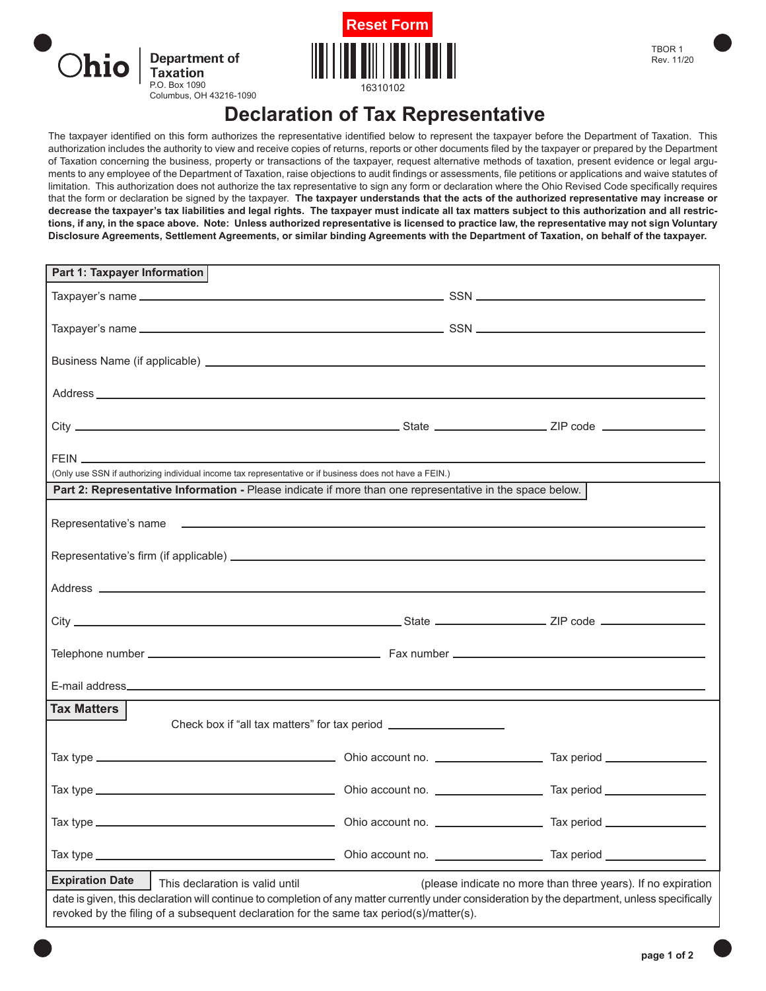



## **Declaration of Tax Representative**

The taxpayer identified on this form authorizes the representative identified below to represent the taxpayer before the Department of Taxation. This authorization includes the authority to view and receive copies of returns, reports or other documents filed by the taxpayer or prepared by the Department of Taxation concerning the business, property or transactions of the taxpayer, request alternative methods of taxation, present evidence or legal arguments to any employee of the Department of Taxation, raise objections to audit findings or assessments, file petitions or applications and waive statutes of limitation. This authorization does not authorize the tax representative to sign any form or declaration where the Ohio Revised Code specifically requires that the form or declaration be signed by the taxpayer. **The taxpayer understands that the acts of the authorized representative may increase or decrease the taxpayer's tax liabilities and legal rights. The taxpayer must indicate all tax matters subject to this authorization and all restrictions, if any, in the space above. Note: Unless authorized representative is licensed to practice law, the representative may not sign Voluntary Disclosure Agreements, Settlement Agreements, or similar binding Agreements with the Department of Taxation, on behalf of the taxpayer.** 

| Part 1: Taxpayer Information                                                                                                                                                      |                                                              |
|-----------------------------------------------------------------------------------------------------------------------------------------------------------------------------------|--------------------------------------------------------------|
|                                                                                                                                                                                   |                                                              |
|                                                                                                                                                                                   |                                                              |
|                                                                                                                                                                                   |                                                              |
|                                                                                                                                                                                   |                                                              |
|                                                                                                                                                                                   |                                                              |
|                                                                                                                                                                                   |                                                              |
|                                                                                                                                                                                   |                                                              |
|                                                                                                                                                                                   |                                                              |
|                                                                                                                                                                                   |                                                              |
| (Only use SSN if authorizing individual income tax representative or if business does not have a FEIN.)                                                                           |                                                              |
| Part 2: Representative Information - Please indicate if more than one representative in the space below.                                                                          |                                                              |
|                                                                                                                                                                                   |                                                              |
|                                                                                                                                                                                   |                                                              |
|                                                                                                                                                                                   |                                                              |
|                                                                                                                                                                                   |                                                              |
|                                                                                                                                                                                   |                                                              |
|                                                                                                                                                                                   |                                                              |
|                                                                                                                                                                                   |                                                              |
|                                                                                                                                                                                   |                                                              |
|                                                                                                                                                                                   |                                                              |
|                                                                                                                                                                                   |                                                              |
| <b>Tax Matters</b>                                                                                                                                                                |                                                              |
| Check box if "all tax matters" for tax period __________________________________                                                                                                  |                                                              |
|                                                                                                                                                                                   |                                                              |
|                                                                                                                                                                                   |                                                              |
|                                                                                                                                                                                   |                                                              |
|                                                                                                                                                                                   |                                                              |
|                                                                                                                                                                                   |                                                              |
|                                                                                                                                                                                   |                                                              |
|                                                                                                                                                                                   |                                                              |
| <b>Expiration Date</b>                                                                                                                                                            |                                                              |
| This declaration is valid until<br>date is given, this declaration will continue to completion of any matter currently under consideration by the department, unless specifically | (please indicate no more than three years). If no expiration |
| revoked by the filing of a subsequent declaration for the same tax period(s)/matter(s).                                                                                           |                                                              |